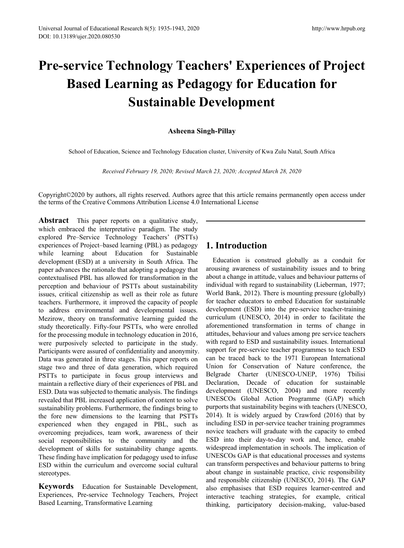# **Pre-service Technology Teachers' Experiences of Project Based Learning as Pedagogy for Education for Sustainable Development**

## **Asheena Singh-Pillay**

School of Education, Science and Technology Education cluster, University of Kwa Zulu Natal, South Africa

*Received February 19, 2020; Revised March 23, 2020; Accepted March 28, 2020*

Copyright©2020 by authors, all rights reserved. Authors agree that this article remains permanently open access under the terms of the Creative Commons Attribution License 4.0 International License

Abstract This paper reports on a qualitative study, which embraced the interpretative paradigm. The study explored Pre–Service Technology Teachers' (PSTTs) experiences of Project–based learning (PBL) as pedagogy while learning about Education for Sustainable development (ESD) at a university in South Africa. The paper advances the rationale that adopting a pedagogy that contextualised PBL has allowed for transformation in the perception and behaviour of PSTTs about sustainability issues, critical citizenship as well as their role as future teachers. Furthermore, it improved the capacity of people to address environmental and developmental issues. Mezirow, theory on transformative learning guided the study theoretically. Fifty-four PSTTs, who were enrolled for the processing module in technology education in 2016, were purposively selected to participate in the study. Participants were assured of confidentiality and anonymity. Data was generated in three stages. This paper reports on stage two and three of data generation, which required PSTTs to participate in focus group interviews and maintain a reflective diary of their experiences of PBL and ESD. Data was subjected to thematic analysis. The findings revealed that PBL increased application of content to solve sustainability problems. Furthermore, the findings bring to the fore new dimensions to the learning that PSTTs experienced when they engaged in PBL, such as overcoming prejudices, team work, awareness of their social responsibilities to the community and the development of skills for sustainability change agents. These finding have implication for pedagogy used to infuse ESD within the curriculum and overcome social cultural stereotypes.

**Keywords** Education for Sustainable Development, Experiences, Pre-service Technology Teachers, Project Based Learning, Transformative Learning

# **1. Introduction**

Education is construed globally as a conduit for arousing awareness of sustainability issues and to bring about a change in attitude, values and behaviour patterns of individual with regard to sustainability (Lieberman, 1977; World Bank, 2012). There is mounting pressure (globally) for teacher educators to embed Education for sustainable development (ESD) into the pre-service teacher-training curriculum (UNESCO, 2014) in order to facilitate the aforementioned transformation in terms of change in attitudes, behaviour and values among pre service teachers with regard to ESD and sustainability issues. International support for pre-service teacher programmes to teach ESD can be traced back to the 1971 European International Union for Conservation of Nature conference, the Belgrade Charter (UNESCO-UNEP, 1976) Tbilisi Declaration, Decade of education for sustainable development (UNESCO, 2004) and more recently UNESCOs Global Action Programme (GAP) which purports that sustainability begins with teachers (UNESCO, 2014). It is widely argued by Crawford (2016) that by including ESD in per-service teacher training programmes novice teachers will graduate with the capacity to embed ESD into their day-to-day work and, hence, enable widespread implementation in schools. The implication of UNESCOs GAP is that educational processes and systems can transform perspectives and behaviour patterns to bring about change in sustainable practice, civic responsibility and responsible citizenship (UNESCO, 2014). The GAP also emphasises that ESD requires learner-centred and interactive teaching strategies, for example, critical thinking, participatory decision-making, value-based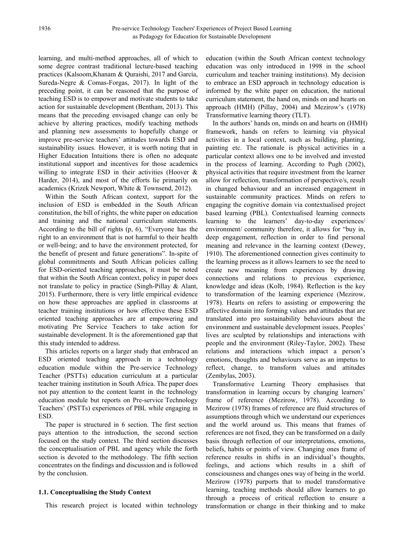learning, and multi-method approaches, all of which to some degree contrast traditional lecture-based teaching practices (Kalsoom,Khanam & Quraishi, 2017 and García, Sureda-Negre & Comas-Forgas, 2017). In light of the preceding point, it can be reasoned that the purpose of teaching ESD is to empower and motivate students to take action for sustainable development (Bentham, 2013). This means that the preceding envisaged change can only be achieve by altering practices, modify teaching methods and planning new assessments to hopefully change or improve pre-service teachers' attitudes towards ESD and sustainability issues. However, it is worth noting that in Higher Education Intuitions there is often no adequate institutional support and incentives for those academics willing to integrate ESD in their activities (Hoover & Harder, 2014), and most of the efforts lie primarily on academics (Krizek Newport, White & Townsend, 2012).

Within the South African context, support for the inclusion of ESD is embedded in the South African constitution, the bill of rights, the white paper on education and training and the national curriculum statements. According to the bill of rights (p, 6), "Everyone has the right to an environment that is not harmful to their health or well-being; and to have the environment protected, for the benefit of present and future generations". In-spite of global commitments and South African policies calling for ESD-oriented teaching approaches, it must be noted that within the South African context, policy in paper does not translate to policy in practice (Singh-Pillay & Alant, 2015). Furthermore, there is very little empirical evidence on how these approaches are applied in classrooms at teacher training institutions or how effective these ESD oriented teaching approaches are at empowering and motivating Pre Service Teachers to take action for sustainable development. It is the aforementioned gap that this study intended to address.

This articles reports on a larger study that embraced an ESD oriented teaching approach in a technology education module within the Pre-service Technology Teacher (PSTTs) education curriculum at a particular teacher training institution in South Africa. The paper does not pay attention to the content learnt in the technology education module but reports on Pre-service Technology Teachers' (PSTTs) experiences of PBL while engaging in ESD.

The paper is structured in 6 section. The first section pays attention to the introduction, the second section focused on the study context. The third section discusses the conceptualisation of PBL and agency while the forth section is devoted to the methodology. The fifth section concentrates on the findings and discussion and is followed by the conclusion.

## **1.1. Conceptualising the Study Context**

This research project is located within technology

education (within the South African context technology education was only introduced in 1998 in the school curriculum and teacher training institutions). My decision to embrace an ESD approach in technology education is informed by the white paper on education, the national curriculum statement, the hand on, minds on and hearts on approach (HMH) (Pillay, 2004) and Mezirow's (1978) Transformative learning theory (TLT).

In the authors' hands on, minds on and hearts on (HMH) framework, hands on refers to learning via physical activities in a local context, such as building, planting, painting etc. The rationale is physical activities in a particular context allows one to be involved and invested in the process of learning. According to Pugh (2002), physical activities that require investment from the learner allow for reflection, transformation of perspective/s, result in changed behaviour and an increased engagement in sustainable community practices. Minds on refers to engaging the cognitive domain via contextualised project based learning (PBL). Contextualised learning connects learning to the learners' day-to-day experiences/ environment/ community therefore, it allows for "buy in, deep engagement, reflection in order to find personal meaning and relevance in the learning context (Dewey, 1910). The aforementioned connection gives continuity to the learning process as it allows learners to see the need to create new meaning from experiences by drawing connections and relations to previous experience, knowledge and ideas (Kolb, 1984). Reflection is the key to transformation of the learning experience (Mezirow, 1978). Hearts on refers to assisting or empowering the affective domain into forming values and attitudes that are translated into pro sustainability behaviours about the environment and sustainable development issues. Peoples' lives are sculpted by relationships and interactions with people and the environment (Riley-Taylor, 2002). These relations and interactions which impact a person's emotions, thoughts and behaviours serve as an impetus to reflect, change, to transform values and attitudes (Zembylas, 2003).

Transformative Learning Theory emphasises that transformation in learning occurs by changing learners' frame of reference (Mezirow, 1978). According to Mezirow (1978) frames of reference are fluid structures of assumptions through which we understand our experiences and the world around us. This means that frames of references are not fixed, they can be transformed on a daily basis through reflection of our interpretations, emotions, beliefs, habits or points of view. Changing ones frame of reference results in shifts in an individual's thoughts, feelings, and actions which results in a shift of consciousness and changes ones way of being in the world. Mezirow (1978) purports that to model transformative learning, teaching methods should allow learners to go through a process of critical reflection to ensure a transformation or change in their thinking and to make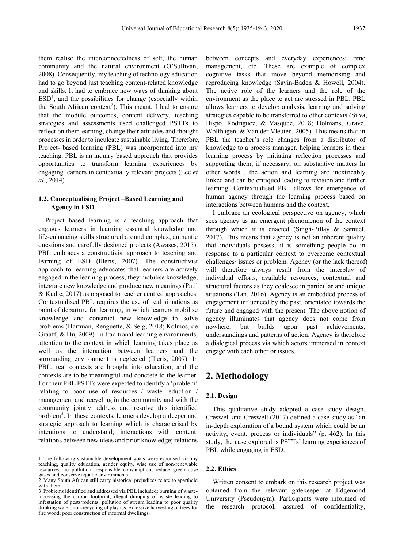them realise the interconnectedness of self, the human community and the natural environment (O'Sullivan, 2008). Consequently, my teaching of technology education had to go beyond just teaching content-related knowledge and skills. It had to embrace new ways of thinking about  $ESD<sup>1</sup>$  $ESD<sup>1</sup>$  $ESD<sup>1</sup>$ , and the possibilities for change (especially within the South African context<sup>[2](#page-2-1)</sup>). This meant, I had to ensure that the module outcomes, content delivery, teaching strategies and assessments used challenged PSTTs to reflect on their learning, change their attitudes and thought processes in order to inculcate sustainable living. Therefore, Project- based learning (PBL) was incorporated into my teaching. PBL is an inquiry based approach that provides opportunities to transform learning experiences by engaging learners in contextually relevant projects (Lee *et al.*, 2014)

#### **1.2. Conceptualising Project –Based Learning and Agency in ESD**

Project based learning is a teaching approach that engages learners in learning essential knowledge and life-enhancing skills structured around complex, authentic questions and carefully designed projects (Awases, 2015). PBL embraces a constructivist approach to teaching and learning of ESD (Illeris, 2007). The constructivist approach to learning advocates that learners are actively engaged in the learning process, they mobilise knowledge, integrate new knowledge and produce new meanings (Patil & Kudte, 2017) as opposed to teacher centred approaches. Contextualised PBL requires the use of real situations as point of departure for learning, in which learners mobilise knowledge and construct new knowledge to solve problems (Hartman, Renguette, & Seig, 2018; Kolmos, de Graaff, & Du, 2009). In traditional learning environments, attention to the context in which learning takes place as well as the interaction between learners and the surrounding environment is neglected (Illeris, 2007). In PBL, real contexts are brought into education, and the contexts are to be meaningful and concrete to the learner. For their PBL PSTTs were expected to identify a 'problem' relating to poor use of resources / waste reduction / management and recycling in the community and with the community jointly address and resolve this identified problem<sup>[3](#page-2-2)</sup>. In these contexts, learners develop a deeper and strategic approach to learning which is characterised by intentions to understand; interactions with content; relations between new ideas and prior knowledge; relations

 $\overline{a}$ 

between concepts and everyday experiences; time management, etc. These are example of complex cognitive tasks that move beyond memorising and reproducing knowledge (Savin-Baden & Howell, 2004). The active role of the learners and the role of the environment as the place to act are stressed in PBL. PBL allows learners to develop analysis, learning and solving strategies capable to be transferred to other contexts [\(Silva,](https://www.emerald.com/insight/search?q=Anielson%20Barbosa%20Da%20Silva)  [Bispo, Rodriguez, &](https://www.emerald.com/insight/search?q=Ana%20Carolina%20Kruta%20de%20Ara%C3%BAjo%20Bispo) [Vasquez, 2](https://www.emerald.com/insight/search?q=Francisco%20Ialyson%20Felipe%20Vasquez)018; Dolmans, Grave, Wolfhagen, & Van der Vleuten, 2005). This means that in PBL the teacher's role changes from a distributor of knowledge to a process manager, helping learners in their learning process by initiating reflection processes and supporting them, if necessary, on substantive matters In other words , the action and learning are inextricably linked and can be critiqued leading to revision and further learning. Contextualised PBL allows for emergence of human agency through the learning process based on interactions between humans and the context.

I embrace an ecological perspective on agency, which sees agency as an emergent phenomenon of the context through which it is enacted (Singh-Pillay & Samuel, 2017). This means that agency is not an inherent quality that individuals possess, it is something people do in response to a particular context to overcome contextual challenges/ issues or problem. Agency (or the lack thereof) will therefore always result from the interplay of individual efforts, available resources, contextual and structural factors as they coalesce in particular and unique situations (Tan, 2016). Agency is an embedded process of engagement influenced by the past, orientated towards the future and engaged with the present. The above notion of agency illuminates that agency does not come from nowhere, but builds upon past achievements, understandings and patterns of action. Agency is therefore a dialogical process via which actors immersed in context engage with each other or issues.

# **2. Methodology**

#### **2.1. Design**

This qualitative study adopted a case study design. Creswell and Creswell (2017) defined a case study as "an in-depth exploration of a bound system which could be an activity, event, process or individuals" (p. 462). In this study, the case explored is PSTTs' learning experiences of PBL while engaging in ESD.

#### **2.2. Ethics**

Written consent to embark on this research project was obtained from the relevant gatekeeper at Edgemond University (Pseudonym). Participants were informed of the research protocol, assured of confidentiality,

<span id="page-2-0"></span><sup>1</sup> The following sustainable development goals were espoused via my teaching, quality education, gender equity, wise use of non-renewable resources, no pollution, responsible consumption, reduce greenhouse gases and conserve aquatic environments.

<span id="page-2-1"></span><sup>2</sup> Many South African still carry historical prejudices relate to apartheid with them

<span id="page-2-2"></span><sup>3</sup> Problems identified and addressed via PBL included: burning of wasteincreasing the carbon footprint; illegal dumping of waste leading to infestation of pests/rodents; pollution of stream leading to poor quality drinking water; non-recycling of plastics; excessive harvesting of trees for fire wood; poor construction of informal dwellings.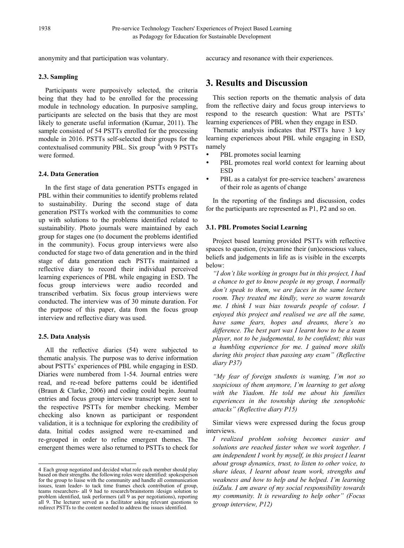anonymity and that participation was voluntary.

accuracy and resonance with their experiences.

#### **2.3. Sampling**

Participants were purposively selected, the criteria being that they had to be enrolled for the processing module in technology education. In purposive sampling, participants are selected on the basis that they are most likely to generate useful information (Kumar, 2011). The sample consisted of 54 PSTTs enrolled for the processing module in 2016. PSTTs self-selected their groups for the contextualised community PBL. Six group <sup>[4](#page-3-0)</sup> with 9 PSTTs were formed.

#### **2.4. Data Generation**

In the first stage of data generation PSTTs engaged in PBL within their communities to identify problems related to sustainability. During the second stage of data generation PSTTs worked with the communities to come up with solutions to the problems identified related to sustainability. Photo journals were maintained by each group for stages one (to document the problems identified in the community). Focus group interviews were also conducted for stage two of data generation and in the third stage of data generation each PSTTs maintained a reflective diary to record their individual perceived learning experiences of PBL while engaging in ESD. The focus group interviews were audio recorded and transcribed verbatim. Six focus group interviews were conducted. The interview was of 30 minute duration. For the purpose of this paper, data from the focus group interview and reflective diary was used.

## **2.5. Data Analysis**

All the reflective diaries (54) were subjected to thematic analysis. The purpose was to derive information about PSTTs' experiences of PBL while engaging in ESD. Diaries were numbered from 1-54. Journal entries were read, and re-read before patterns could be identified (Braun & Clarke, 2006) and coding could begin. Journal entries and focus group interview transcript were sent to the respective PSTTs for member checking. Member checking also known as participant or respondent validation, it is a technique for exploring the credibility of data. Initial codes assigned were re-examined and re-grouped in order to refine emergent themes. The emergent themes were also returned to PSTTs to check for

# **3. Results and Discussion**

This section reports on the thematic analysis of data from the reflective dairy and focus group interviews to respond to the research question: What are PSTTs' learning experiences of PBL when they engage in ESD.

Thematic analysis indicates that PSTTs have 3 key learning experiences about PBL while engaging in ESD, namely

- PBL promotes social learning
- PBL promotes real world context for learning about ESD
- PBL as a catalyst for pre-service teachers' awareness of their role as agents of change

In the reporting of the findings and discussion, codes for the participants are represented as P1, P2 and so on.

#### **3.1. PBL Promotes Social Learning**

Project based learning provided PSTTs with reflective spaces to question, (re)examine their (un)conscious values, beliefs and judgements in life as is visible in the excerpts below:

*"I don't like working in groups but in this project, I had a chance to get to know people in my group, I normally don't speak to them, we are faces in the same lecture room. They treated me kindly, were so warm towards me. I think I was bias towards people of colour. I enjoyed this project and realised we are all the same, have same fears, hopes and dreams, there's no difference. The best part was I learnt how to be a team player, not to be judgemental, to be confident; this was a humbling experience for me. I gained more skills during this project than passing any exam" (Reflective diary P37)* 

*"My fear of foreign students is waning, I'm not so suspicious of them anymore, I'm learning to get along with the Yiadom. He told me about his families experiences in the township during the xenophobic attacks" (Reflective diary P15)*

Similar views were expressed during the focus group interviews.

*I realized problem solving becomes easier and solutions are reached faster when we work together. I am independent I work by myself, in this project I learnt about group dynamics, trust, to listen to other voice, to share ideas, I learnt about team work, strengths and weakness and how to help and be helped. I'm learning isiZulu. I am aware of my social responsibility towards my community. It is rewarding to help other" (Focus group interview, P12)*

<span id="page-3-0"></span><sup>4</sup> Each group negotiated and decided what role each member should play based on their strengths. the following roles were identified: spokesperson for the group to liaise with the community and handle all communication issues, team leader- to tack time frames check contribution of group, teams researchers- all 9 had to research/brainstorm /design solution to problem identified, task performers (all 9 as per negotiations), reporting all 9. The lecturer served as a facilitator asking relevant questions to redirect PSTTs to the content needed to address the issues identified.  $\overline{a}$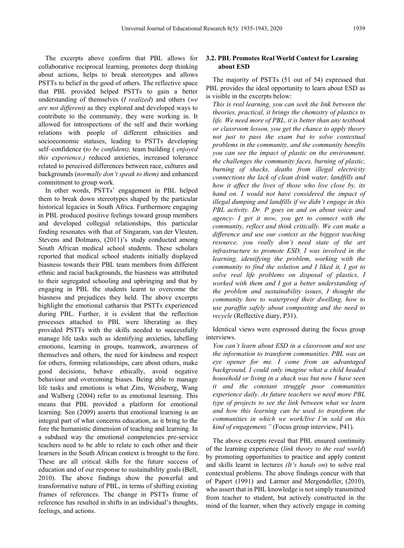The excerpts above confirm that PBL allows for collaborative reciprocal learning, promotes deep thinking about actions, helps to break stereotypes and allows PSTTs to belief in the good of others. The reflective space that PBL provided helped PSTTs to gain a better understanding of themselves (*I realized*) and others (*we are not different)* as they explored and developed ways to contribute to the community, they were working in. It allowed for introspections of the self and their working relations with people of different ethnicities and socioeconomic statuses, [leading to](https://buildabroad.org/2017/09/29/cultural-immersion/) PSTTs developing self–confidence (*to be confident),* team building ( *enjoyed this experience.)* reduced anxieties, increased tolerance related to perceived differences between race, cultures and backgrounds (*normally don't speak to them)* and enhanced commitment to group work.

In other words, PSTTs' engagement in PBL helped them to break down stereotypes shaped by the particular historical legacies in South Africa. Furthermore engaging in PBL produced positive feelings toward group members and developed collegial relationships, this particular finding resonates with that of Singaram, van der Vleuten, Stevens and Dolmans, (2011)'s study conducted among South African medical school students. These scholars reported that medical school students initially displayed biasness towards their PBL team members from different ethnic and racial backgrounds, the biasness was attributed to their segregated schooling and upbringing and that by engaging in PBL the students learnt to overcome the biasness and prejudices they held. The above excerpts highlight the emotional catharsis that PSTTs experienced during PBL. Further, it is evident that the reflection processes attached to PBL were liberating as they provided PSTTs with the skills needed to successfully manage life tasks such as identifying anxieties, labelling emotions, learning in groups, teamwork, awareness of themselves and others, the need for kindness and respect for others, forming relationships, care about others, make good decisions, behave ethically, avoid negative behaviour and overcoming biases. Being able to manage life tasks and emotions is what Zins, Weissberg, Wang and Walberg (2004) refer to as emotional learning. This means that PBL provided a platform for emotional learning. Sen (2009) asserts that emotional learning is an integral part of what concerns education, as it bring to the fore the humanistic dimension of teaching and learning. In a subdued way the emotional competencies pre-service teachers need to be able to relate to each other and their learners in the South African context is brought to the fore. These are all critical skills for the future success of education and of our response to sustainability goals (Bell, 2010). The above findings show the powerful and transformative nature of PBL, in terms of shifting existing frames of references. The change in PSTTs frame of reference has resulted in shifts in an individual's thoughts, feelings, and actions.

#### **3.2. PBL Promotes Real World Context for Learning about ESD**

The majority of PSTTs (51 out of 54) expressed that PBL provides the ideal opportunity to learn about ESD as is visible in the excerpts below:

*This is real learning, you can seek the link between the theories, practical, it brings the chemistry of plastics to life. We need more of PBL, it is better than any textbook or classroom lesson, you get the chance to apply theory not just to pass the exam but to solve contextual problems in the community, and the community benefits you can see the impact of plastic on the environment, the challenges the community faces, burning of plastic, burning of shacks, deaths from illegal electricity connections the lack of clean drink water, landfills and how it affect the lives of those who live close by, its hand on. I would not have considered the impact of illegal dumping and landfills if we didn't engage in this PBL activity. Dr. P goes on and on about voice and agency- I get it now, you get to connect with the community, reflect and think critically. We can make a difference and use our context as the biggest teaching resource, you really don't need state of the art infrastructure to promote ESD, I was involved in the learning, identifying the problem, working with the community to find the solution and I liked it, I got to solve real life problems on disposal of plastics, I worked with them and I got a better understanding of the problem and sustainability issues, I thought the community how to waterproof their dwelling, how to use paraffin safely about composting and the need to recycle* (Reflective diary, P31).

Identical views were expressed during the focus group interviews.

*You can't learn about ESD in a classroom and not use the information to transform communities. PBL was an eye opener for me. I come from an advantaged background, I could only imagine what a child headed household or living in a shack was but now I have seen it and the constant struggle poor communities experience daily. As future teachers we need more PBL type of projects to see the link between what we learn and how this learning can be used to transform the communities in which we work/live I'm sold on this kind of engagement."* (Focus group interview, P41).

The above excerpts reveal that PBL ensured continuity of the learning experience (*link theory to the real world*) by promoting opportunities to practice and apply content and skills learnt in lectures *(It's hands on*) to solve real contextual problems. The above findings concur with that of Papert (1991) and Larmer and Mergendoller, (2010), who assert that in PBL knowledge is not simply transmitted from teacher to student, but actively constructed in the mind of the learner, when they actively engage in coming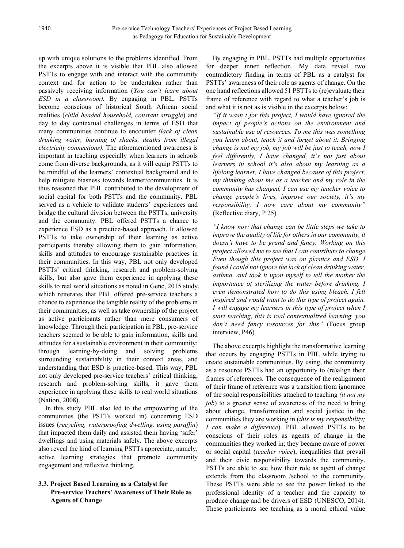up with unique solutions to the problems identified. From the excerpts above it is visible that PBL also allowed PSTTs to engage with and interact with the community context and for action to be undertaken rather than passively receiving information (*You can't learn about ESD in a classroom).* By engaging in PBL, PSTTs become conscious of historical South African social realities (*child headed household, constant struggle*) and day to day contextual challenges in terms of ESD that many communities continue to encounter *(lack of clean drinking water, burning of shacks, deaths from illegal electricity connections).* The aforementioned awareness is important in teaching especially when learners in schools come from diverse backgrounds, as it will equip PSTTs to be mindful of the learners' contextual background and to help mitigate biasness towards learner/communities. It is thus reasoned that PBL contributed to the development of social capital for both PSTTs and the community. PBL served as a vehicle to validate students' experiences and bridge the cultural division between the PSTTs, university and the community. PBL offered PSTTs a chance to experience ESD as a practice-based approach. It allowed PSTTs to take ownership of their learning as active participants thereby allowing them to gain information, skills and attitudes to encourage sustainable practices in their communities. In this way, PBL not only developed PSTTs' critical thinking, research and problem-solving skills, but also gave them experience in applying these skills to real world situations as noted in Genc, 2015 study, which reiterates that PBL offered pre-service teachers a chance to experience the tangible reality of the problems in their communities, as well as take ownership of the project as active participants rather than mere consumers of knowledge. Through their participation in PBL, pre-service teachers seemed to be able to gain information, skills and attitudes for a sustainable environment in their community; through learning-by-doing and solving problems surrounding sustainability in their context areas, and understanding that ESD is practice-based. This way, PBL not only developed pre-service teachers' critical thinking, research and problem-solving skills, it gave them experience in applying these skills to real world situations (Nation, 2008).

In this study PBL also led to the empowering of the communities (the PSTTs worked in) concerning ESD issues (*recycling, waterproofing dwelling, using paraffin*) that impacted them daily and assisted them having 'safer' dwellings and using materials safely. The above excerpts also reveal the kind of learning PSTTs appreciate, namely, active learning strategies that promote community engagement and reflexive thinking.

## **3.3. Project Based Learning as a Catalyst for Pre-service Teachers' Awareness of Their Role as Agents of Change**

By engaging in PBL, PSTTs had multiple opportunities for deeper inner reflection. My data reveal two contradictory finding in terms of PBL as a catalyst for PSTTs' awareness of their role as agents of change. On the one hand reflections allowed 51 PSTTs to (re)evaluate their frame of reference with regard to what a teacher's job is and what it is not as is visible in the excerpts below:

*"If it wasn't for this project, I would have ignored the impact of people's actions on the environment and sustainable use of resources. To me this was something you learn about, teach it and forget about it. Bringing change is not my job, my job will be just to teach, now I feel differently, I have changed, it's not just about learners in school it's also about my learning as a lifelong learner, I have changed because of this project, my thinking about me as a teacher and my role in the community has changed, I can use my teacher voice to change people's lives, improve our society, it's my responsibility, I now care about my community"*  (Reflective diary, P 25)

*"I know now that change can be little steps we take to improve the quality of life for others in our community, it doesn't have to be grand and fancy. Working on this project allowed me to see that I can contribute to change. Even though this project was on plastics and ESD, I found I could not ignore the lack of clean drinking water, asthma, and took it upon myself to tell the mother the importance of sterilizing the water before drinking. I even demonstrated how to do this using bleach. I felt inspired and would want to do this type of project again. I will engage my learners in this type of project when I start teaching, this is real contextualized learning, you don't need fancy resources for this"* (Focus group interview, P46)

The above excerpts highlight the transformative learning that occurs by engaging PSTTs in PBL while trying to create sustainable communities. By using, the community as a resource PSTTs had an opportunity to (re)align their frames of references. The consequence of the realignment of their frame of reference was a transition from ignorance of the social responsibilities attached to teaching *(it not my job*) to a greater sense of awareness of the need to bring about change, transformation and social justice in the communities they are working in (*this is my responsibility; I can make a difference*). PBL allowed PSTTs to be conscious of their roles as agents of change in the communities they worked in; they became aware of power or social capital (*teacher voice*), inequalities that prevail and their civic responsibility towards the community. PSTTs are able to see how their role as agent of change extends from the classroom /school to the community. These PSTTs were able to see the power linked to the professional identity of a teacher and the capacity to produce change and be drivers of ESD (UNESCO, 2014). These participants see teaching as a moral ethical value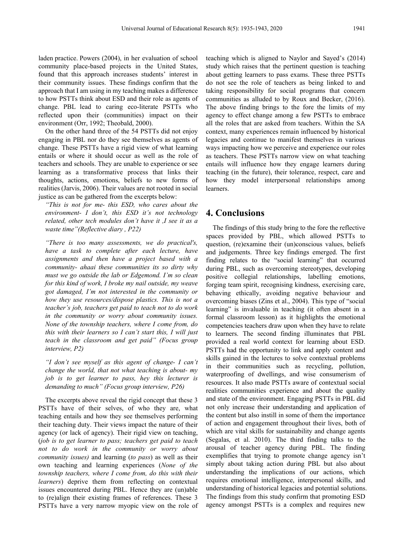laden practice. Powers (2004), in her evaluation of school community place-based projects in the United States, found that this approach increases students' interest in their community issues. These findings confirm that the approach that I am using in my teaching makes a difference to how PSTTs think about ESD and their role as agents of change. PBL lead to caring eco-literate PSTTs who reflected upon their (communities) impact on their environment (Orr, 1992; Theobald, 2000).

On the other hand three of the 54 PSTTs did not enjoy engaging in PBL nor do they see themselves as agents of change. These PSTTs have a rigid view of what learning entails or where it should occur as well as the role of teachers and schools. They are unable to experience or see learning as a transformative process that links their thoughts, actions, emotions, beliefs to new forms of realities (Jarvis, 2006). Their values are not rooted in social justice as can be gathered from the excerpts below:

*"This is not for me- this ESD, who cares about the environment- I don't, this ESD it's not technology related, other tech modules don't have it ,I see it as a waste time"(Reflective diary , P22)*

*"There is too many assessments, we do practical's, have a task to complete after each lecture, have assignments and then have a project based with a community- ahaai these communities its so dirty why must we go outside the lab or Edgemond. I'm so clean for this kind of work, I broke my nail outside, my weave got damaged, I'm not interested in the community or how they use resources/dispose plastics. This is not a teacher's job, teachers get paid to teach not to do work in the community or worry about community issues. None of the township teachers, where I come from, do this with their learners so I can't start this, I will just teach in the classroom and get paid" (Focus group interview, P2)* 

*"I don't see myself as this agent of change- I can't change the world, that not what teaching is about- my job is to get learner to pass, hey this lecturer is demanding to much" (Focus group interview, P26)*

The excerpts above reveal the rigid concept that these 3 PSTTs have of their selves, of who they are, what teaching entails and how they see themselves performing their teaching duty. Their views impact the nature of their agency (or lack of agency). Their rigid view on teaching, (*job is to get learner to pass; teachers get paid to teach not to do work in the community or worry about community issues)* and learning (*to pass*) as well as their own teaching and learning experiences (*None of the township teachers, where I come from, do this with their learners*) deprive them from reflecting on contextual issues encountered during PBL. Hence they are (un)able to (re)align their existing frames of references. These 3 PSTTs have a very narrow myopic view on the role of teaching which is aligned to Naylor and Sayed's (2014) study which raises that the pertinent question is teaching about getting learners to pass exams. These three PSTTs do not see the role of teachers as being linked to and taking responsibility for social programs that concern communities as alluded to by Roux and Becker, (2016). The above finding brings to the fore the limits of my agency to effect change among a few PSTTs to embrace all the roles that are asked from teachers. Within the SA context, many experiences remain influenced by historical legacies and continue to manifest themselves in various ways impacting how we perceive and experience our roles as teachers. These PSTTs narrow view on what teaching entails will influence how they engage learners during teaching (in the future), their tolerance, respect, care and how they model interpersonal relationships among learners.

## **4. Conclusions**

The findings of this study bring to the fore the reflective spaces provided by PBL, which allowed PSTTs to question, (re)examine their (un)conscious values, beliefs and judgements. Three key findings emerged. The first finding relates to the "social learning" that occurred during PBL, such as overcoming stereotypes, developing positive collegial relationships, labelling emotions, forging team spirit, recognising kindness, exercising care, behaving ethically, avoiding negative behaviour and overcoming biases (Zins et al., 2004). This type of "social learning" is invaluable in teaching (it often absent in a formal classroom lesson) as it highlights the emotional competencies teachers draw upon when they have to relate to learners. The second finding illuminates that PBL provided a real world context for learning about ESD. PSTTs had the opportunity to link and apply content and skills gained in the lectures to solve contextual problems in their communities such as recycling, pollution, waterproofing of dwellings, and wise consumerism of resources. It also made PSTTs aware of contextual social realities communities experience and about the quality and state of the environment. Engaging PSTTs in PBL did not only increase their understanding and application of the content but also instill in some of them the importance of action and engagement throughout their lives, both of which are vital skills for sustainability and change agents (Segalas, et al. 2010). The third finding talks to the arousal of teacher agency during PBL. The finding exemplifies that trying to promote change agency isn't simply about taking action during PBL but also about understanding the implications of our actions, which requires emotional intelligence, interpersonal skills, and understanding of historical legacies and potential solutions. The findings from this study confirm that promoting ESD agency amongst PSTTs is a complex and requires new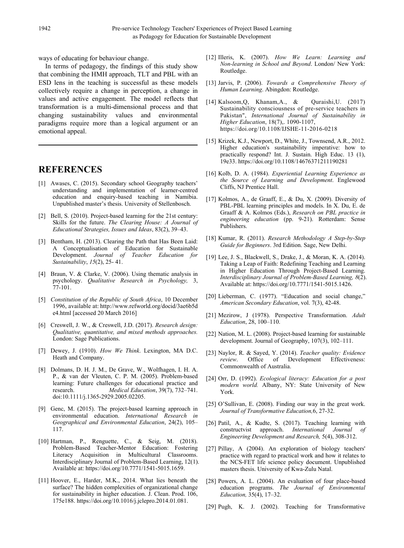ways of educating for behaviour change.

In terms of pedagogy, the findings of this study show that combining the HMH approach, TLT and PBL with an ESD lens in the teaching is successful as these models collectively require a change in perception, a change in values and active engagement. The model reflects that transformation is a multi-dimensional process and that changing sustainability values and environmental paradigms require more than a logical argument or an emotional appeal.

# **REFERENCES**

- [1] Awases, C. (2015). Secondary school Geography teachers' understanding and implementation of learner-centred education and enquiry-based teaching in Namibia. Unpublished master's thesis. University of Stellenbosch.
- [2] Bell, S. (2010). Project-based learning for the 21st century: Skills for the future. *The Clearing House: A Journal of Educational Strategies, Issues and Ideas*, 83(2), 39–43.
- [3] Bentham, H. (2013). Clearing the Path that Has Been Laid: A Conceptualisation of Education for Sustainable Development. *Journal of Teacher Education for Sustainability*, *15*(2), 25- 41.
- [4] Braun, V. & Clarke, V. (2006). Using thematic analysis in psychology. *Qualitative Research in Psychology,* 3, 77-101.
- [5] *Constitution of the Republic of South Africa*, 10 December 1996, available at: http://www.refworld.org/docid/3ae6b5d e4.html [accessed 20 March 2016]
- [6] Creswell, J. W., & Creswell, J.D. (2017). *Research design: Qualitative, quantitative, and mixed methods approaches.* London: Sage Publications.
- [7] Dewey, J. (1910). *How We Think*. Lexington, MA D.C. Heath and Company.
- [8] Dolmans, D. H. J. M., De Grave, W., Wolfhagen, I. H. A. P., & van der Vleuten, C. P. M. (2005). Problem-based learning: Future challenges for educational practice and research. *Medical Education*, 39(7), 732–741. doi:10.1111/j.1365-2929.2005.02205.
- [9] Genc, M. (2015). The project-based learning approach in environmental education. *International Research in Geographical and Environmental Education*, 24(2), 105– 117.
- [10] Hartman, P., Renguette, C., & Seig, M. (2018). Problem-Based Teacher-Mentor Education: Fostering Literacy Acquisition in Multicultural Classrooms. Interdisciplinary Journal of Problem-Based Learning, 12(1). Available at: [https://doi.org/10.7771/1541-5015.1659.](https://doi.org/10.7771/1541-5015.1659)
- [11] Hoover, E., Harder, M.K., 2014. What lies beneath the surface? The hidden complexities of organizational change for sustainability in higher education. J. Clean. Prod. 106, 175e188. https://doi.org/10.1016/j.jclepro.2014.01.081.
- [12] Illeris, K. (2007). *How We Learn: Learning and Non-learning in School and Beyond*. London/ New York: Routledge.
- [13] Jarvis, P. (2006). *Towards a Comprehensive Theory of Human Learning*. Abingdon: Routledge.
- [14] [Kalsoom,](https://www.emeraldinsight.com/author/Kalsoom%2C+Qudsia)Q, [Khanam,](https://www.emeraldinsight.com/author/Khanam%2C+Afifa)A., & [Quraishi,](https://www.emeraldinsight.com/author/Quraishi%2C+Uzma)U. (2017) Sustainability consciousness of pre-service teachers in Pakistan", *International Journal of Sustainability in Higher Education*, 18(7),. 1090-1107, <https://doi.org/10.1108/IJSHE-11-2016-0218>
- [15] Krizek, K.J., Newport, D., White, J., Townsend, A.R., 2012. Higher education's sustainability imperative: how to practically respond? Int. J. Sustain. High Educ. 13 (1), 19e33[. https://doi.org/10.1108/14676371211190281](https://doi.org/10.1108/14676371211190281)
- [16] Kolb, D. A. (1984). *Experiential Learning Experience as the Source of Learning and Development*. Englewood Cliffs, NJ Prentice Hall.
- [17] Kolmos, A., de Graaff, E., & Du, X. (2009). Diversity of PBL-PBL learning principles and models. In X. Du, E. de Graaff & A. Kolmos (Eds.), *Research on PBL practice in engineering education* (pp. 9-21). Rotterdam: Sense Publishers.
- [18] Kumar, R. (2011). *Research Methodology A Step-by-Step Guide for Beginners*. 3rd Edition. Sage, New Delhi.
- [19] Lee, J. S., Blackwell, S., Drake, J., & Moran, K. A. (2014). Taking a Leap of Faith: Redefining Teaching and Learning in Higher Education Through Project-Based Learning. *Interdisciplinary Journal of Problem-Based Learning, 8*(2). Available at[: https://doi.org/10.7771/1541-5015.1426.](https://doi.org/10.7771/1541-5015.1426)
- [20] Lieberman, C. (1977). "Education and social change," *American Secondary Education*, vol. 7(3), 42-48.
- [21] Mezirow, J (1978). Perspective Transformation. *Adult Education*, 28, 100–110.
- [22] Nation, M. L. (2008). Project-based learning for sustainable development. Journal of Geography, 107(3), 102–111.
- [23] Naylor, R. & Sayed, Y. (2014). *Teacher quality: Evidence review*. Office of Development Commonwealth of Australia.
- [24] Orr, D. (1992). *Ecological literacy: Education for a post modern world.* Albany, NY: State University of New York.
- [25] O'Sullivan, E. (2008). Finding our way in the great work. *Journal of Transformative Education,*6, 27-32.
- [26] Patil, A., & Kudte, S. (2017). Teaching learning with constructvist approach. *International Journal Engineering Development and Research,* 5(4), 308-312.
- [27] Pillay, A (2004). An exploration of biology teachers' practice with regard to practical work and how it relates to the NCS-FET life science policy document. Unpublished masters thesis. University of Kwa-Zulu Natal.
- [28] Powers, A. L. (2004). An evaluation of four place-based education programs. *The Journal of Environmental Education,* 35(4), 17–32.
- [29] Pugh, K. J. (2002). Teaching for Transformative